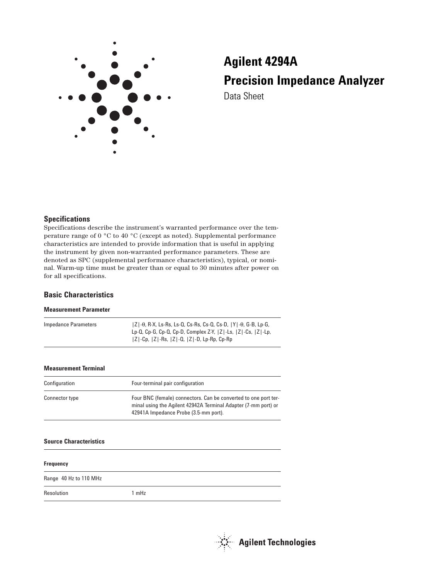

# **Agilent 4294A Precision Impedance Analyzer** Data Sheet

#### **Specifications**

Specifications describe the instrument's warranted performance over the temperature range of 0 °C to 40 °C (except as noted). Supplemental performance characteristics are intended to provide information that is useful in applying the instrument by given non-warranted performance parameters. These are denoted as SPC (supplemental performance characteristics), typical, or nominal. Warm-up time must be greater than or equal to 30 minutes after power on for all specifications.

#### **Basic Characteristics**

#### **Measurement Parameter**

| Impedance Parameters | $ Z $ - $\theta$ , R-X, Ls-Rs, Ls-Q, Cs-Rs, Cs-Q, Cs-D, $ Y $ - $\theta$ , G-B, Lp-G, |
|----------------------|---------------------------------------------------------------------------------------|
|                      | Lp-Q, Cp-G, Cp-Q, Cp-D, Complex Z-Y, $ Z $ -Ls, $ Z $ -Cs, $ Z $ -Lp,                 |
|                      | $ Z $ -Cp, $ Z $ -Rs, $ Z $ -Q, $ Z $ -D, Lp-Rp, Cp-Rp                                |

#### **Measurement Terminal**

| Configuration  | Four-terminal pair configuration                                                                                                                                           |
|----------------|----------------------------------------------------------------------------------------------------------------------------------------------------------------------------|
| Connector type | Four BNC (female) connectors. Can be converted to one port ter-<br>minal using the Agilent 42942A Terminal Adapter (7-mm port) or<br>42941A Impedance Probe (3.5-mm port). |

#### **Source Characteristics**

| <b>Frequency</b>       |       |
|------------------------|-------|
| Range 40 Hz to 110 MHz |       |
| Resolution             | 1 mHz |

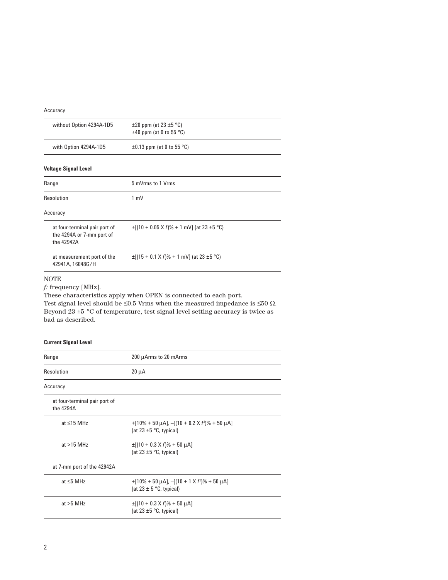Accuracy

| without Option 4294A-1D5                                                 | $\pm 20$ ppm (at 23 $\pm 5$ °C)<br>$\pm$ 40 ppm (at 0 to 55 °C) |  |
|--------------------------------------------------------------------------|-----------------------------------------------------------------|--|
| with Option 4294A-1D5                                                    | $\pm 0.13$ ppm (at 0 to 55 °C)                                  |  |
| <b>Voltage Signal Level</b>                                              |                                                                 |  |
| Range                                                                    | 5 mVrms to 1 Vrms                                               |  |
| Resolution                                                               | $1 \text{ mV}$                                                  |  |
| Accuracy                                                                 |                                                                 |  |
| at four-terminal pair port of<br>the 4294A or 7-mm port of<br>the 42942A | $\pm$ [(10 + 0.05 X f)% + 1 mV] (at 23 $\pm$ 5 °C)              |  |
| at measurement port of the<br>42941A, 16048G/H                           | $\pm$ [(15 + 0.1 X f)% + 1 mV] (at 23 $\pm$ 5 °C)               |  |

#### NOTE

*f:* frequency [MHz].

These characteristics apply when OPEN is connected to each port. Test signal level should be ≤0.5 Vrms when the measured impedance is ≤50  $\Omega$ . Beyond 23  $\pm 5$  °C of temperature, test signal level setting accuracy is twice as bad as described.

#### **Current Signal Level**

| Range                                      | 200 µArms to 20 mArms                                                                          |
|--------------------------------------------|------------------------------------------------------------------------------------------------|
| Resolution                                 | $20 \mu A$                                                                                     |
| Accuracy                                   |                                                                                                |
| at four-terminal pair port of<br>the 4294A |                                                                                                |
| at $\leq$ 15 MHz                           | $+[10\% + 50 \mu A]$ , $-[ (10 + 0.2 \times f^2)\% + 50 \mu A]$<br>(at 23 $\pm$ 5 °C, typical) |
| at $>15$ MHz                               | $\pm$ [(10 + 0.3 X f)% + 50 µA]<br>(at $23 \pm 5$ °C, typical)                                 |
| at 7-mm port of the 42942A                 |                                                                                                |
| at $\leq$ 5 MHz                            | $+[10\% + 50 \mu A]$ , $-[ (10 + 1 \times f^2)\% + 50 \mu A]$<br>(at $23 \pm 5$ °C, typical)   |
| at $>5$ MHz                                | $\pm$ [(10 + 0.3 X f)% + 50 µA]<br>(at $23 \pm 5$ °C, typical)                                 |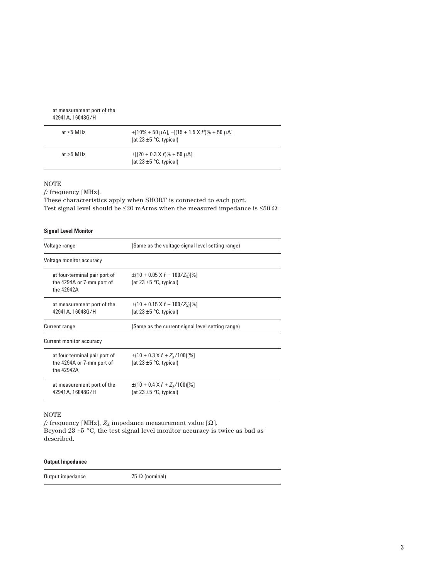| at measurement port of the<br>42941A, 16048G/H |                                                                                                |
|------------------------------------------------|------------------------------------------------------------------------------------------------|
| at $<$ 5 MHz                                   | $+[10\% + 50 \mu A]$ , $-[ (15 + 1.5 \times f^2)\% + 50 \mu A]$<br>(at $23 \pm 5$ °C, typical) |
| at $>5$ MHz                                    | $\pm$ [(20 + 0.3 X f)% + 50 µA]<br>(at $23 \pm 5$ °C, typical)                                 |

 $\mathcal{L}_{\mathcal{A}}$ 

#### NOTE

*f:* frequency [MHz].

These characteristics apply when SHORT is connected to each port. Test signal level should be  ${\leq}20$  mArms when the measured impedance is  ${\leq}50$   $\Omega.$ 

#### **Signal Level Monitor**

| Voltage range                                                            | (Same as the voltage signal level setting range)                             |
|--------------------------------------------------------------------------|------------------------------------------------------------------------------|
| Voltage monitor accuracy                                                 |                                                                              |
| at four-terminal pair port of<br>the 4294A or 7-mm port of<br>the 42942A | $\pm (10 + 0.05 \times f + 100/Z_X)[\%]$<br>(at $23 \pm 5$ °C, typical)      |
| at measurement port of the<br>42941A, 16048G/H                           | $\pm (10 + 0.15 \times f + 100/Z_X)[\%]$<br>(at 23 $\pm$ 5 °C, typical)      |
| Current range                                                            | (Same as the current signal level setting range)                             |
| Current monitor accuracy                                                 |                                                                              |
| at four-terminal pair port of<br>the 4294A or 7-mm port of<br>the 42942A | $\pm$ (10 + 0.3 X f + Z <sub>x</sub> /100)[%]<br>(at $23 \pm 5$ °C, typical) |
| at measurement port of the<br>42941A.16048G/H                            | $\pm$ (10 + 0.4 X f + Z <sub>x</sub> /100)[%]<br>(at 23 $\pm$ 5 °C, typical) |

#### NOTE

*f*: frequency [MHz],  $Z_X$  impedance measurement value [ $\Omega$ ]. Beyond 23 ±5 °C, the test signal level monitor accuracy is twice as bad as described.

#### **Output Impedance**

Output impedance 25  $\Omega$  (nominal)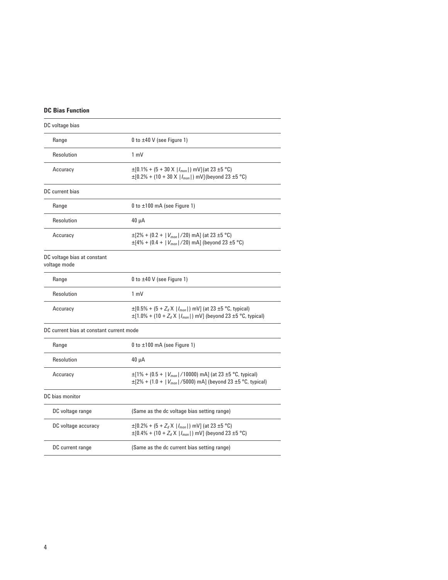#### **DC Bias Function**

| DC voltage bias                             |                                                                                                                                                        |
|---------------------------------------------|--------------------------------------------------------------------------------------------------------------------------------------------------------|
| Range                                       | 0 to $\pm 40$ V (see Figure 1)                                                                                                                         |
| Resolution                                  | $1 \text{ mV}$                                                                                                                                         |
| Accuracy                                    | $\pm$ [0.1% + (5 + 30 X   $I_{mon}$  ) mV](at 23 $\pm$ 5 °C)<br>$\pm$ [0.2% + (10 + 30 X   $I_{mon}$  ) mV](beyond 23 $\pm$ 5 °C)                      |
| DC current bias                             |                                                                                                                                                        |
| Range                                       | $0$ to $\pm 100$ mA (see Figure 1)                                                                                                                     |
| Resolution                                  | $40 \mu A$                                                                                                                                             |
| Accuracy                                    | $\pm$ [2% + (0.2 +   $V_{mon}$  /20) mA] (at 23 ±5 °C)<br>$\pm$ [4% + (0.4 +   $V_{mon}$   /20) mA] (beyond 23 $\pm$ 5 °C)                             |
| DC voltage bias at constant<br>voltage mode |                                                                                                                                                        |
| Range                                       | 0 to $\pm 40$ V (see Figure 1)                                                                                                                         |
| Resolution                                  | $1 \text{ mV}$                                                                                                                                         |
| Accuracy                                    | $\pm$ [0.5% + (5 + $Z_d$ X   $I_{mon}$  ) mV] (at 23 $\pm$ 5 °C, typical)<br>$\pm$ [1.0% + (10 + $Z_d$ X   $I_{mon}$  ) mV] (beyond 23 ±5 °C, typical) |
| DC current bias at constant current mode    |                                                                                                                                                        |
| Range                                       | 0 to $\pm 100$ mA (see Figure 1)                                                                                                                       |
| Resolution                                  | $40 \mu A$                                                                                                                                             |
| Accuracy                                    | $\pm$ [1% + (0.5 +   $V_{mon}$  /10000) mA] (at 23 ±5 °C, typical)<br>$\pm$ [2% + (1.0 +   $V_{mon}$  /5000) mA] (beyond 23 ±5 °C, typical)            |
| DC bias monitor                             |                                                                                                                                                        |
| DC voltage range                            | (Same as the dc voltage bias setting range)                                                                                                            |
| DC voltage accuracy                         | $\pm$ [0.2% + (5 + $Z_d$ X   $I_{mon}$  ) mV] (at 23 $\pm$ 5 °C)<br>$\pm$ [0.4% + (10 + $Z_d$ X   $I_{mon}$  ) mV] (beyond 23 $\pm$ 5 °C)              |
| DC current range                            | (Same as the dc current bias setting range)                                                                                                            |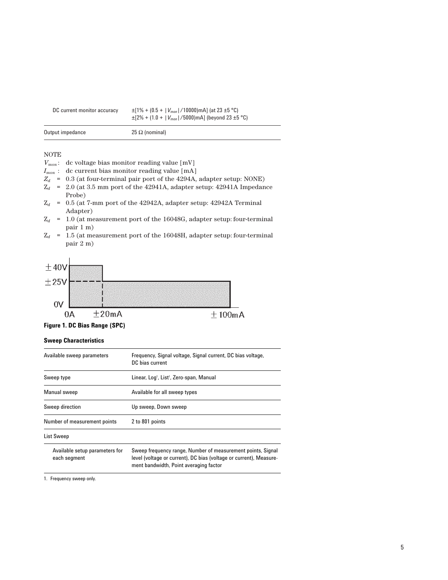| DC current monitor accuracy | $\pm$ [1% + (0.5 +   $V_{mon}$  /10000)mA] (at 23 $\pm$ 5 °C)<br>$\pm$ [2% + (1.0 +   $V_{mon}$  /5000)mA] (beyond 23 $\pm$ 5 °C) |
|-----------------------------|-----------------------------------------------------------------------------------------------------------------------------------|
| Output impedance            | 25 Ω (nominal)                                                                                                                    |

#### NOTE

- *Vmon* : dc voltage bias monitor reading value [mV]
- *Imon* : dc current bias monitor reading value [mA]
- $Z_d$  = 0.3 (at four-terminal pair port of the 4294A, adapter setup: NONE)
- $Z_d$  = 2.0 (at 3.5 mm port of the 42941A, adapter setup: 42941A Impedance Probe)
- $Z_d$  = 0.5 (at 7-mm port of the 42942A, adapter setup: 42942A Terminal Adapter)
- $Z_d$  = 1.0 (at measurement port of the 16048G, adapter setup: four-terminal pair 1 m)
- $Z_d$  = 1.5 (at measurement port of the 16048H, adapter setup: four-terminal pair 2 m)



**Figure 1. DC Bias Range (SPC)**

#### **Sweep Characteristics**

| Available sweep parameters                     | Frequency, Signal voltage, Signal current, DC bias voltage,<br>DC bias current                                                                                              |
|------------------------------------------------|-----------------------------------------------------------------------------------------------------------------------------------------------------------------------------|
| Sweep type                                     | Linear, Log <sup>1</sup> , List <sup>1</sup> , Zero-span, Manual                                                                                                            |
| Manual sweep                                   | Available for all sweep types                                                                                                                                               |
| Sweep direction                                | Up sweep, Down sweep                                                                                                                                                        |
| Number of measurement points                   | 2 to 801 points                                                                                                                                                             |
| List Sweep                                     |                                                                                                                                                                             |
| Available setup parameters for<br>each segment | Sweep frequency range, Number of measurement points, Signal<br>level (voltage or current), DC bias (voltage or current), Measure-<br>ment bandwidth, Point averaging factor |

1. Frequency sweep only.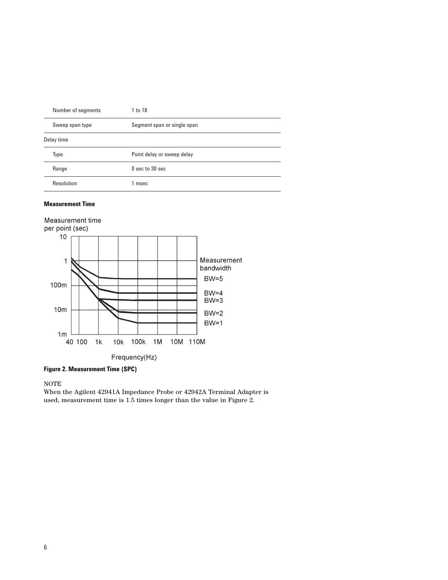| Number of segments | 1 to 18                     |
|--------------------|-----------------------------|
| Sweep span type    | Segment span or single span |
| Delay time         |                             |
| Type               | Point delay or sweep delay  |
| Range              | $0$ sec to $30$ sec         |
| Resolution         | 1 msec                      |

#### **Measurement Time**



**Figure 2. Measurement Time (SPC)**

NOTE

When the Agilent 42941A Impedance Probe or 42942A Terminal Adapter is used, measurement time is 1.5 times longer than the value in Figure 2.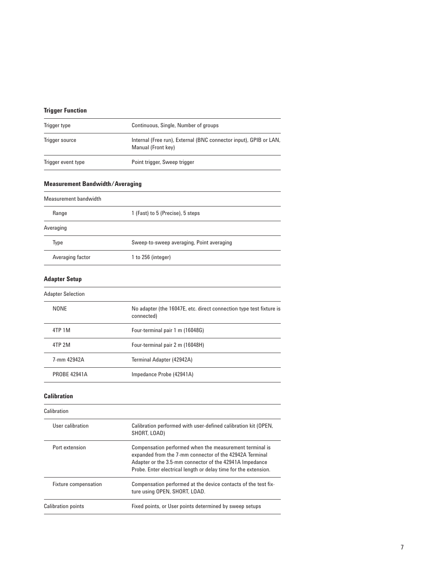# **Trigger Function**

| Trigger type       | Continuous, Single, Number of groups                                                    |
|--------------------|-----------------------------------------------------------------------------------------|
| Trigger source     | Internal (Free run), External (BNC connector input), GPIB or LAN,<br>Manual (Front key) |
| Trigger event type | Point trigger, Sweep trigger                                                            |

# **Measurement Bandwidth/Averaging**

| Measurement bandwidth |                                           |  |
|-----------------------|-------------------------------------------|--|
| Range                 | 1 (Fast) to 5 (Precise), 5 steps          |  |
| Averaging             |                                           |  |
| Type                  | Sweep-to-sweep averaging, Point averaging |  |
| Averaging factor      | 1 to 256 (integer)                        |  |

# **Adapter Setup**

| <b>Adapter Selection</b> |                                                                                   |  |
|--------------------------|-----------------------------------------------------------------------------------|--|
| NONE                     | No adapter (the 16047E, etc. direct connection type test fixture is<br>connected) |  |
| 4TP 1M                   | Four-terminal pair 1 m (16048G)                                                   |  |
| 4TP 2M                   | Four-terminal pair 2 m (16048H)                                                   |  |
| 7-mm 42942A              | Terminal Adapter (42942A)                                                         |  |
| <b>PROBE 42941A</b>      | Impedance Probe (42941A)                                                          |  |

#### **Calibration**

| Calibration               |                                                                                                                                                                                                                                                  |
|---------------------------|--------------------------------------------------------------------------------------------------------------------------------------------------------------------------------------------------------------------------------------------------|
| User calibration          | Calibration performed with user-defined calibration kit (OPEN,<br>SHORT, LOAD)                                                                                                                                                                   |
| Port extension            | Compensation performed when the measurement terminal is<br>expanded from the 7-mm connector of the 42942A Terminal<br>Adapter or the 3.5-mm connector of the 42941A Impedance<br>Probe. Enter electrical length or delay time for the extension. |
| Fixture compensation      | Compensation performed at the device contacts of the test fix-<br>ture using OPEN, SHORT, LOAD.                                                                                                                                                  |
| <b>Calibration points</b> | Fixed points, or User points determined by sweep setups                                                                                                                                                                                          |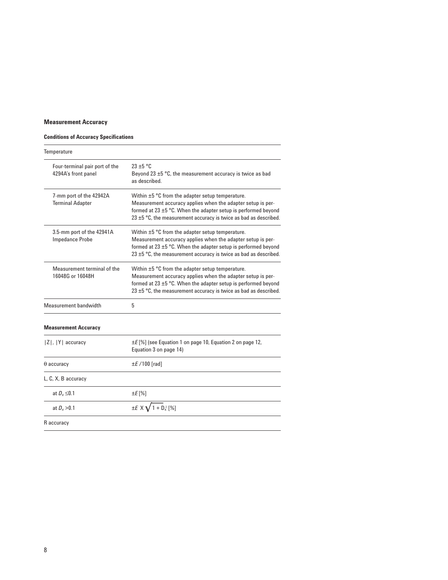# **Measurement Accuracy**

# **Conditions of Accuracy Specifications**

| Temperature                                           |                                                                                                                                                                                                                                                                      |
|-------------------------------------------------------|----------------------------------------------------------------------------------------------------------------------------------------------------------------------------------------------------------------------------------------------------------------------|
| Four-terminal pair port of the<br>4294A's front panel | $23 \pm 5$ °C<br>Beyond 23 $\pm$ 5 °C, the measurement accuracy is twice as bad<br>as described.                                                                                                                                                                     |
| 7-mm port of the 42942A<br><b>Terminal Adapter</b>    | Within ±5 °C from the adapter setup temperature.<br>Measurement accuracy applies when the adapter setup is per-<br>formed at 23 $\pm$ 5 °C. When the adapter setup is performed beyond<br>23 $\pm$ 5 °C, the measurement accuracy is twice as bad as described.      |
| 3.5-mm port of the 42941A<br><b>Impedance Probe</b>   | Within $\pm 5$ °C from the adapter setup temperature.<br>Measurement accuracy applies when the adapter setup is per-<br>formed at 23 $\pm$ 5 °C. When the adapter setup is performed beyond<br>23 $\pm$ 5 °C, the measurement accuracy is twice as bad as described. |
| Measurement terminal of the<br>16048G or 16048H       | Within $\pm 5$ °C from the adapter setup temperature.<br>Measurement accuracy applies when the adapter setup is per-<br>formed at 23 $\pm$ 5 °C. When the adapter setup is performed beyond<br>23 $\pm$ 5 °C, the measurement accuracy is twice as bad as described. |
| Measurement bandwidth                                 | 5                                                                                                                                                                                                                                                                    |
| <b>Measurement Accuracy</b>                           |                                                                                                                                                                                                                                                                      |
| $ Z ,  Y $ accuracy                                   | $\pm E$ [%] (see Equation 1 on page 10, Equation 2 on page 12,<br>Equation 3 on page 14)                                                                                                                                                                             |
| $\theta$ accuracy                                     | $\pm$ <i>E</i> /100 [rad]                                                                                                                                                                                                                                            |
| L, C, X, B accuracy                                   |                                                                                                                                                                                                                                                                      |
| at $D_x \leq 0.1$                                     | ±E [%]                                                                                                                                                                                                                                                               |
| at $D_x > 0.1$                                        | $\pm E$ X $\sqrt{1 + D_x^2}$ [%]                                                                                                                                                                                                                                     |
| R accuracy                                            |                                                                                                                                                                                                                                                                      |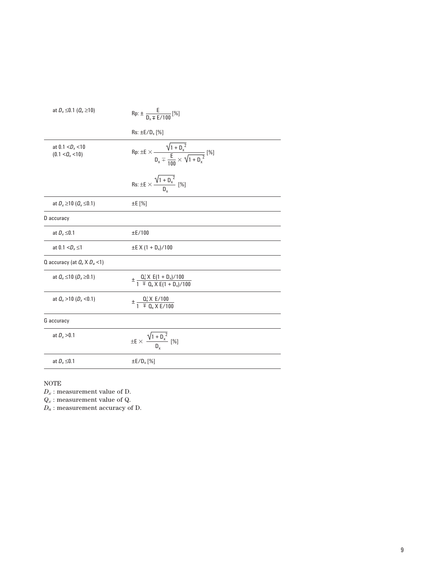| at $D_x \le 0.1$ ( $Q_x \ge 10$ )                        | $Rp: \pm \frac{E}{D_v \mp F/100}$ [%]                                                                  |
|----------------------------------------------------------|--------------------------------------------------------------------------------------------------------|
|                                                          | $Rs: \pm E/D_x$ [%]                                                                                    |
| at 0.1 $<$ D <sub>x</sub> $<$ 10<br>$(0.1 < Q_{x} < 10)$ | $\text{Rp: } \pm E \times \frac{\sqrt{1 + D_x^2}}{D_x \mp \frac{E}{1.00} \times \sqrt{1 + D_x^2}}$ [%] |
|                                                          | Rs: $\pm E \times \frac{\sqrt{1 + D_x^2}}{D}$ [%]                                                      |
| at $D_x \ge 10$ ( $Q_x \le 0.1$ )                        | $\pm$ E [%]                                                                                            |
| D accuracy                                               |                                                                                                        |
| at $D_x \leq 0.1$                                        | $\pm$ E/100                                                                                            |
| at 0.1 $<$ D <sub>x</sub> $\leq$ 1                       | $\pm$ E X (1 + D <sub>x</sub> )/100                                                                    |
| Q accuracy (at $Q_x \times D_a$ <1)                      |                                                                                                        |
| at $Q_x \le 10$ ( $D_x \ge 0.1$ )                        | $\pm \frac{0.2 \times E(1 + D_x)/100}{1 + D_x \times E(1 + D_x)/100}$                                  |
| at $Q_x > 10$ (D <sub>x</sub> <0.1)                      | $\pm \frac{Q_x^2 X E/100}{1 \pm Q_x X E/100}$                                                          |
| G accuracy                                               |                                                                                                        |
| at $D_x > 0.1$                                           | $\pm E \times \frac{\sqrt{1+{D_x}^2}}{n} \ [\%]$                                                       |
| at $D_x \leq 0.1$                                        | $\pm E/D_x$ [%]                                                                                        |

# NOTE

 $D_x$ : measurement value of D.

*Qx* : measurement value of Q.

*Da* : measurement accuracy of D.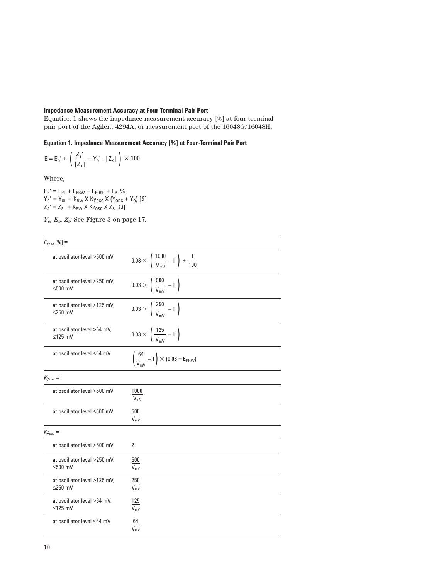#### **Impedance Measurement Accuracy at Four-Terminal Pair Port**

Equation 1 shows the impedance measurement accuracy [%] at four-terminal pair port of the Agilent 4294A, or measurement port of the 16048G/16048H.

**Equation 1. Impedance Measurement Accuracy [%] at Four-Terminal Pair Port**

$$
E=E_p^{\phantom{x}i}+\left(\frac{Z_s^{\phantom{x}i}}{|Z_x|}+Y_o^{\phantom{x}i}\cdot|Z_x^{\phantom{x}i}|\right)\times 100
$$

Where,

 $E_P' = E_{PL} + E_{PBW} + E_{POSC} + E_P [\%]$  $Y_0' = Y_{0L} + K_{BW} X K_{Vosc} X (Y_{ODc} + Y_0)$  [S]  $Z_{\rm S}$ ' =  $Z_{\rm SL}$  + K<sub>BW</sub> X Kz<sub>0SC</sub> X Z<sub>S</sub> [ $\Omega$ ]

*Yo, Ep, Zs:* See Figure 3 on page 17.

| $E_{pose}$ [%] =                              |                                                                             |
|-----------------------------------------------|-----------------------------------------------------------------------------|
| at oscillator level >500 mV                   | $0.03 \times \left( \frac{1000}{V_{\text{mV}}} - 1 \right) + \frac{f}{100}$ |
| at oscillator level >250 mV.<br>$\leq 500$ mV | $0.03 \times \left( \frac{500}{V_{\text{mV}}} - 1 \right)$                  |
| at oscillator level >125 mV,<br>$\leq$ 250 mV | $0.03 \times \left(\frac{250}{V_{\text{mV}}} - 1\right)$                    |
| at oscillator level >64 mV,<br>$\leq$ 125 mV  | $0.03 \times \left( \frac{125}{V_{\text{mV}}} - 1 \right)$                  |
| at oscillator level ≤64 mV                    | $\left(\frac{64}{V_{\text{mV}}} - 1\right) \times (0.03 + E_{\text{PBW}})$  |
| $Ky_{osc}$ =                                  |                                                                             |
| at oscillator level >500 mV                   | 1000<br>$V_{\text{mV}}$                                                     |
| at oscillator level ≤500 mV                   | 500<br>$V_{\text{mV}}$                                                      |
| $Kz_{osc}$ =                                  |                                                                             |
| at oscillator level >500 mV                   | $\overline{2}$                                                              |
| at oscillator level >250 mV,<br>$\leq 500$ mV | 500<br>$V_{\text{mV}}$                                                      |
| at oscillator level >125 mV.<br>$\leq$ 250 mV | 250<br>$V_{\text{mV}}$                                                      |
| at oscillator level >64 mV.<br>$\leq$ 125 mV  | 125<br>$V_{\text{mV}}$                                                      |
| at oscillator level ≤64 mV                    | 64<br>$V_{\text{mV}}$                                                       |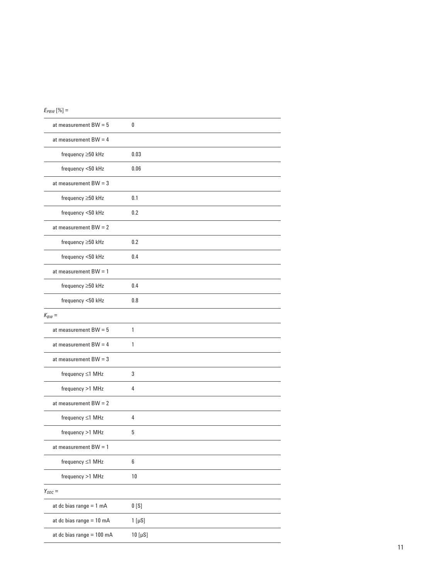|--|--|--|

| at measurement $BW = 5$   | 0                |
|---------------------------|------------------|
| at measurement $BW = 4$   |                  |
| frequency ≥50 kHz         | 0.03             |
| frequency <50 kHz         | 0.06             |
| at measurement $BW = 3$   |                  |
| frequency ≥50 kHz         | 0.1              |
| frequency <50 kHz         | 0.2              |
| at measurement $BW = 2$   |                  |
| frequency $\geq 50$ kHz   | 0.2              |
| frequency <50 kHz         | 0.4              |
| at measurement $BW = 1$   |                  |
| frequency ≥50 kHz         | 0.4              |
| frequency <50 kHz         | 0.8              |
| $K_{BW} =$                |                  |
| at measurement $BW = 5$   | 1                |
| at measurement $BW = 4$   | 1                |
| at measurement $BW = 3$   |                  |
| frequency ≤1 MHz          | 3                |
| frequency >1 MHz          | 4                |
| at measurement $BW = 2$   |                  |
| frequency ≤1 MHz          | 4                |
| frequency >1 MHz          | 5                |
| at measurement $BW = 1$   |                  |
| frequency ≤1 MHz          | 6                |
| frequency >1 MHz          | 10               |
| $Y_{ODC} =$               |                  |
| at dc bias range $= 1$ mA | 0 <sub>[S]</sub> |
| at dc bias range = 10 mA  | $1$ [ $\mu$ S]   |
| at dc bias range = 100 mA | 10 [µS]          |
|                           |                  |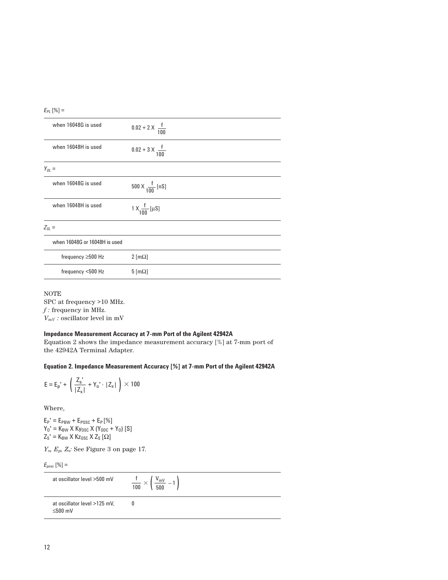|--|--|--|

| when 16048G is used           | $0.02 + 2 \times \frac{f}{100}$ |
|-------------------------------|---------------------------------|
| when 16048H is used           | $0.02 + 3 \times \frac{f}{100}$ |
| $Y_{OL} =$                    |                                 |
| when 16048G is used           | 500 X $\frac{f}{100}$ [nS]      |
| when 16048H is used           | 1 X $\frac{f}{100}$ [µS]        |
| $Z_{\rm SI}$ =                |                                 |
| when 16048G or 16048H is used |                                 |
| frequency $\geq$ 500 Hz       | $2 \text{ [m}\Omega$            |
| frequency <500 Hz             | $5 \, \text{[m}\Omega]$         |
|                               |                                 |

NOTE SPC at frequency >10 MHz. *f :* frequency in MHz.  $V_{mV}$  *:* oscillator level in mV

#### **Impedance Measurement Accuracy at 7-mm Port of the Agilent 42942A**

Equation 2 shows the impedance measurement accuracy [%] at 7-mm port of the 42942A Terminal Adapter.

**Equation 2. Impedance Measurement Accuracy [%] at 7-mm Port of the Agilent 42942A**

$$
E = E_p' + \left(\frac{Z_s'}{|Z_x|} + Y_o' \cdot |Z_x|\right) \times 100
$$

Where,

 $E_P' = E_{PBW} + E_{POSC} + E_P [\%]$  $Y_0' = K_{BW} X K_{Vosc} X (Y_{ODc} + Y_0)$  [S]  $Z_{\rm S}$ ' = K<sub>BW</sub> X Kz<sub>0SC</sub> X Z<sub>S</sub> [ $\Omega$ ]

*Yo, Ep, Zs:* See Figure 3 on page 17.

 $E_{pose}\left[\%\right]=$ 

| at oscillator level >500 mV                   | $\frac{t}{100} \times \left( \frac{V_{\text{mV}}}{500} - 1 \right)$ |
|-----------------------------------------------|---------------------------------------------------------------------|
| at oscillator level >125 mV,<br>$\leq 500$ mV |                                                                     |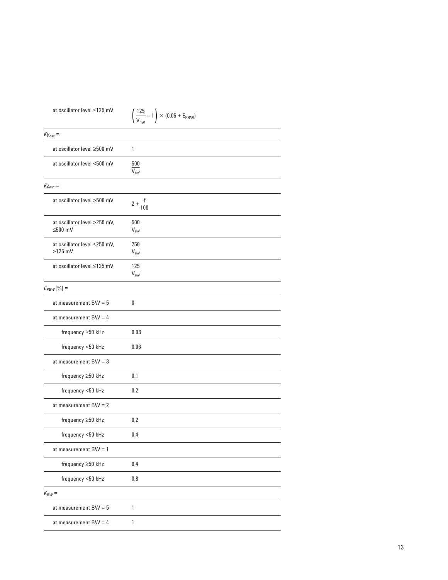| at oscillator level ≤125 mV               | $\left(\frac{125}{V_{\text{mV}}}-1\right) \times (0.05 + E_{\text{PBW}})$ |
|-------------------------------------------|---------------------------------------------------------------------------|
| $Ky_{osc}$ =                              |                                                                           |
| at oscillator level ≥500 mV               | 1                                                                         |
| at oscillator level <500 mV               | 500<br>$\overline{V_{mV}}$                                                |
| $Kz_{osc}$ =                              |                                                                           |
| at oscillator level >500 mV               | $2 + \frac{f}{100}$                                                       |
| at oscillator level >250 mV,<br>$≤500$ mV | 500<br>$\overline{V_{\text{mV}}}$                                         |
| at oscillator level ≤250 mV,<br>$>125$ mV | 250<br>$\overline{V_{\text{mV}}}$                                         |
| at oscillator level ≤125 mV               | 125<br>$\overline{V_{\text{mV}}}$                                         |
| $E_{PBW}$ [%] =                           |                                                                           |
| at measurement $BW = 5$                   | 0                                                                         |
| at measurement $BW = 4$                   |                                                                           |
| frequency ≥50 kHz                         | 0.03                                                                      |
| frequency <50 kHz                         | 0.06                                                                      |
| at measurement $BW = 3$                   |                                                                           |
| frequency ≥50 kHz                         | 0.1                                                                       |
| frequency <50 kHz                         | 0.2                                                                       |
| at measurement $BW = 2$                   |                                                                           |
| frequency ≥50 kHz                         | 0.2                                                                       |
| frequency <50 kHz                         | 0.4                                                                       |
| at measurement $BW = 1$                   |                                                                           |
| frequency ≥50 kHz                         | 0.4                                                                       |
| frequency <50 kHz                         | 0.8                                                                       |
| $K_{BW} =$                                |                                                                           |
| at measurement $BW = 5$                   | $\mathbf{1}$                                                              |
| at measurement $BW = 4$                   | 1                                                                         |
|                                           |                                                                           |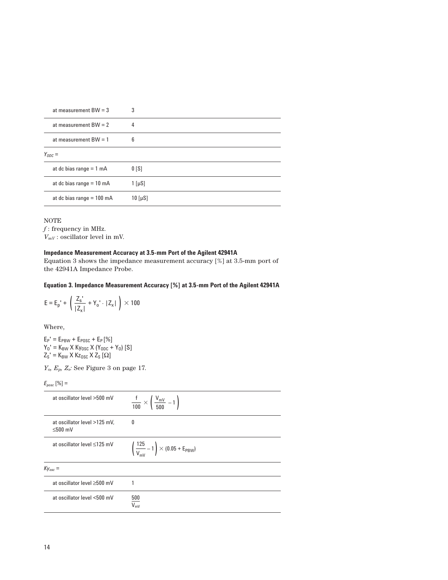| at measurement $BW = 3$     | 3                      |
|-----------------------------|------------------------|
| at measurement $BW = 2$     | 4                      |
| at measurement $BW = 1$     | 6                      |
| $Y_{ODC} =$                 |                        |
| at dc bias range $= 1$ mA   | 0 <sub>5</sub>         |
| at dc bias range $= 10$ mA  | $1 \left[\mu S\right]$ |
| at dc bias range $= 100$ mA | $10$ [ $\mu$ S]        |

#### NOTE

 $f$ : frequency in MHz.  $V_{mV}$ : oscillator level in mV.

#### **Impedance Measurement Accuracy at 3.5-mm Port of the Agilent 42941A**

Equation 3 shows the impedance measurement accuracy [%] at 3.5-mm port of the 42941A Impedance Probe.

#### **Equation 3. Impedance Measurement Accuracy [%] at 3.5-mm Port of the Agilent 42941A**

$$
E = E_{p}^{\dagger} + \left( \frac{Z_{s}^{\dagger}}{|Z_{x}|} + Y_{0}^{\dagger} \cdot |Z_{x}| \right) \times 100
$$

Where,

 $E_P' = E_{PBW} + E_{POSC} + E_P [\%]$  $Y_0' = K_{BW} X K_{Vosc} X (Y_{ODc} + Y_0)$  [S]  $Z_{\rm S}$ ' = K<sub>BW</sub> X Kz<sub>0SC</sub> X Z<sub>S</sub> [ $\Omega$ ]

*Yo, Ep, Zs:* See Figure 3 on page 17.

# $E_{pose}$  [%] =

| at oscillator level >500 mV                   | $\frac{f}{100} \times \left( \frac{V_{\text{mV}}}{500} - 1 \right)$         |
|-----------------------------------------------|-----------------------------------------------------------------------------|
| at oscillator level >125 mV,<br>$\leq 500$ mV | 0                                                                           |
| at oscillator level ≤125 mV                   | $\left(\frac{125}{V_{\text{mV}}} - 1\right) \times (0.05 + E_{\text{PBW}})$ |
| $Ky_{osc} =$                                  |                                                                             |
| at oscillator level $\geq 500$ mV             |                                                                             |
| at oscillator level <500 mV                   | 500<br>$V_{\text{mV}}$                                                      |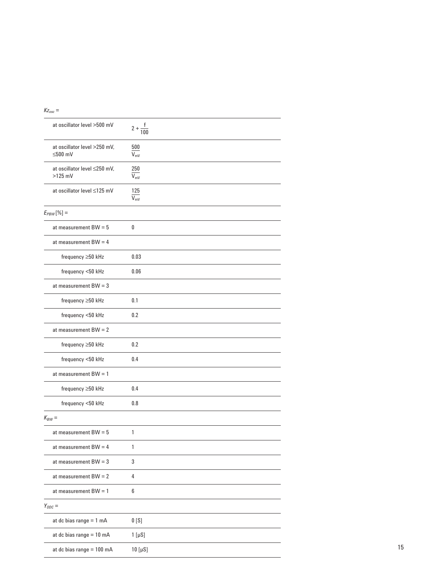| at oscillator level >500 mV               | $2 + \frac{1}{100}$               |
|-------------------------------------------|-----------------------------------|
| at oscillator level >250 mV,<br>$≤500$ mV | 500<br>$\overline{V_{\text{mV}}}$ |
| at oscillator level ≤250 mV,<br>$>125$ mV | 250<br>$V_{\text{mV}}$            |
| at oscillator level ≤125 mV               | 125<br>$V_{\text{mV}}$            |
| $E_{PBW}$ [%] =                           |                                   |
| at measurement $BW = 5$                   | 0                                 |
| at measurement $BW = 4$                   |                                   |
| frequency ≥50 kHz                         | 0.03                              |
| frequency <50 kHz                         | 0.06                              |
| at measurement $BW = 3$                   |                                   |
| frequency ≥50 kHz                         | 0.1                               |
| frequency <50 kHz                         | 0.2                               |
| at measurement $BW = 2$                   |                                   |
| frequency ≥50 kHz                         | 0.2                               |
| frequency <50 kHz                         | 0.4                               |
| at measurement $BW = 1$                   |                                   |
| frequency ≥50 kHz                         | 0.4                               |
| frequency <50 kHz                         | 0.8                               |
| $K_{BW} =$                                |                                   |
| at measurement $BW = 5$                   | 1                                 |
| at measurement $BW = 4$                   | 1                                 |
| at measurement $BW = 3$                   | 3                                 |
| at measurement $BW = 2$                   | 4                                 |
| at measurement $BW = 1$                   | 6                                 |
| $Y_{ODC} =$                               |                                   |
| at dc bias range $= 1$ mA                 | 0 <sub>[S]</sub>                  |
| at dc bias range $= 10$ mA                | $1$ [ $\mu$ S]                    |
| at dc bias range = 100 mA                 | 10 [ $\mu$ S]                     |

#### $Kz_{osc}$  =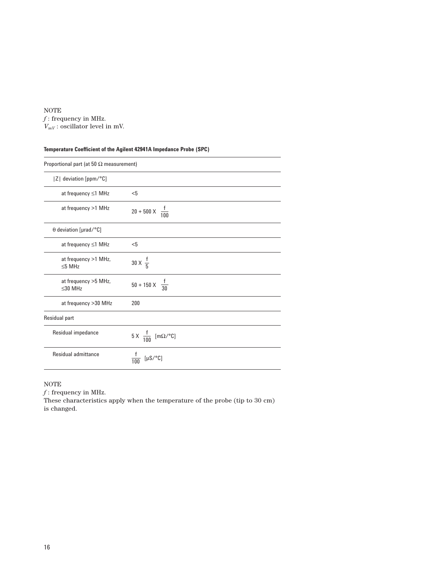#### NOTE

 $f\colon\text{frequency in MHz.}$  $V_{mV}$ : oscillator level in mV.

# **Temperature Coefficient of the Agilent 42941A Impedance Probe (SPC)**

| Proportional part (at 50 $\Omega$ measurement) |                                      |
|------------------------------------------------|--------------------------------------|
| Z  deviation [ppm/°C]                          |                                      |
| at frequency $\leq$ 1 MHz                      | $5$                                  |
| at frequency >1 MHz                            | $20 + 500 \times \frac{f}{100}$      |
| $\theta$ deviation [µrad/°C]                   |                                      |
| at frequency ≤1 MHz                            | $5$                                  |
| at frequency >1 MHz,<br>$<$ 5 MHz              | 30 X $\frac{1}{5}$                   |
| at frequency >5 MHz,<br>$\leq$ 30 MHz          | $50 + 150 \times \frac{f}{30}$       |
| at frequency >30 MHz                           | 200                                  |
| Residual part                                  |                                      |
| Residual impedance                             | 5 X $\frac{f}{100}$ [m $\Omega$ /°C] |
| Residual admittance                            | $[\mu S/^{\circ}C]$                  |

#### NOTE

*f* : frequency in MHz.

These characteristics apply when the temperature of the probe (tip to 30 cm) is changed.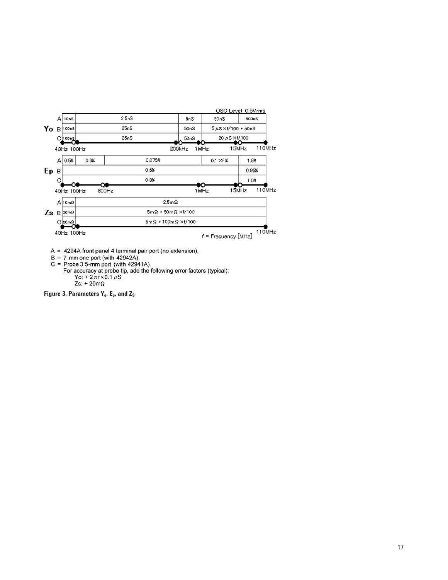

 $A = 4294A$  front panel 4 terminal pair port (no extension),

 $B = 7$ -mone port (with 42942A).<br>  $B = 7$ -mone port (with 42942A).<br>  $C = \text{Probe } 3.5$ -mm port (with 42941A).<br>
For accuracy at probe tip, add the following error factors (typical):<br>  $Y_0: + 2\pi f \times 0.1 \mu S$  $Zs: + 20m\Omega$ 

Figure 3. Parameters Y<sub>o</sub>, E<sub>p</sub>, and Z<sub>S</sub>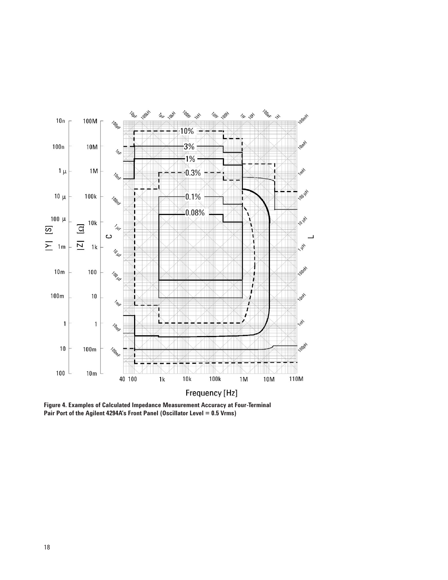

**Figure 4. Examples of Calculated Impedance Measurement Accuracy at Four-Terminal Pair Port of the Agilent 4294A's Front Panel (Oscillator Level = 0.5 Vrms)**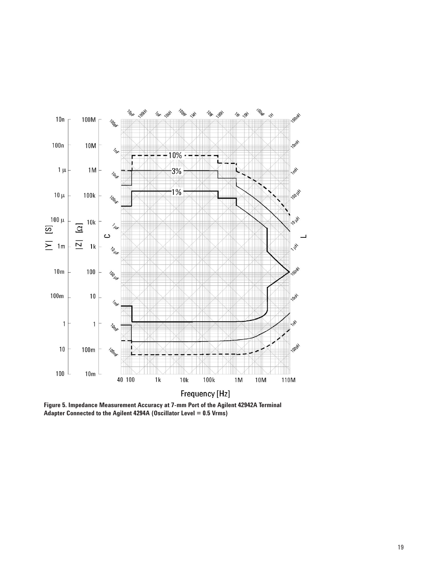

**Figure 5. Impedance Measurement Accuracy at 7-mm Port of the Agilent 42942A Terminal Adapter Connected to the Agilent 4294A (Oscillator Level = 0.5 Vrms)**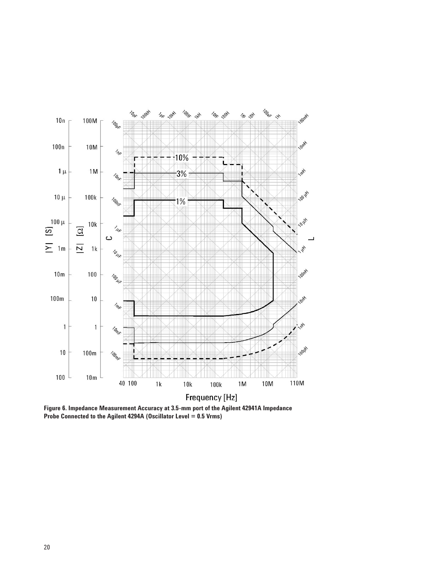

**Figure 6. Impedance Measurement Accuracy at 3.5-mm port of the Agilent 42941A Impedance Probe Connected to the Agilent 4294A (Oscillator Level = 0.5 Vrms)**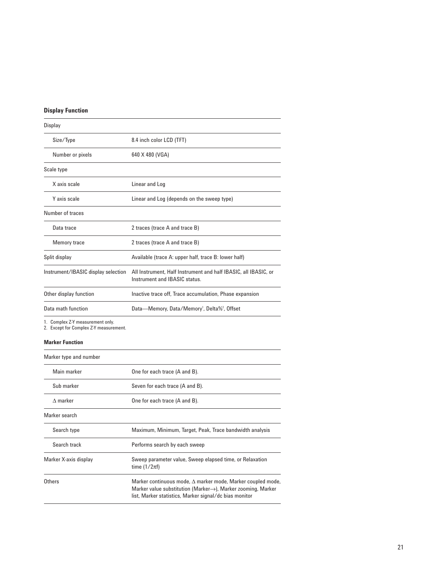# **Display Function**

| Display                             |                                                                                                  |
|-------------------------------------|--------------------------------------------------------------------------------------------------|
| Size/Type                           | 8.4 inch color LCD (TFT)                                                                         |
| Number or pixels                    | 640 X 480 (VGA)                                                                                  |
| Scale type                          |                                                                                                  |
| X axis scale                        | Linear and Log                                                                                   |
| Y axis scale                        | Linear and Log (depends on the sweep type)                                                       |
| Number of traces                    |                                                                                                  |
| Data trace                          | 2 traces (trace A and trace B)                                                                   |
| <b>Memory trace</b>                 | 2 traces (trace A and trace B)                                                                   |
| Split display                       | Available (trace A: upper half, trace B: lower half)                                             |
| Instrument/IBASIC display selection | All Instrument, Half Instrument and half IBASIC, all IBASIC, or<br>Instrument and IBASIC status. |
| Other display function              | Inactive trace off. Trace accumulation. Phase expansion                                          |
| Data math function                  | Data—Memory, Data/Memory <sup>1</sup> , Delta% <sup>2</sup> , Offset                             |

1. Complex Z-Y measurement only.

2. Except for Complex Z-Y measurement.

#### **Marker Function**

| Marker type and number |                                                                                                                                                                                                           |
|------------------------|-----------------------------------------------------------------------------------------------------------------------------------------------------------------------------------------------------------|
| Main marker            | One for each trace (A and B).                                                                                                                                                                             |
| Sub marker             | Seven for each trace (A and B).                                                                                                                                                                           |
| $\Lambda$ marker       | One for each trace (A and B).                                                                                                                                                                             |
| Marker search          |                                                                                                                                                                                                           |
| Search type            | Maximum, Minimum, Target, Peak, Trace bandwidth analysis                                                                                                                                                  |
| Search track           | Performs search by each sweep                                                                                                                                                                             |
| Marker X-axis display  | Sweep parameter value, Sweep elapsed time, or Relaxation<br>time $(1/2\pi f)$                                                                                                                             |
| Others                 | Marker continuous mode, $\Delta$ marker mode, Marker coupled mode,<br>Marker value substitution (Marker $\rightarrow$ ), Marker zooming, Marker<br>list, Marker statistics, Marker signal/dc bias monitor |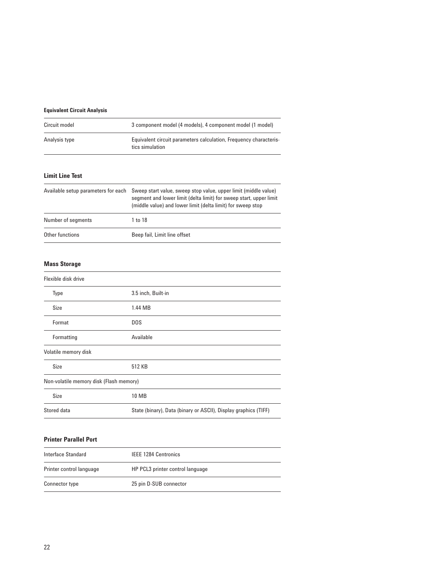# **Equivalent Circuit Analysis**

| Circuit model | 3 component model (4 models), 4 component model (1 model)                            |
|---------------|--------------------------------------------------------------------------------------|
| Analysis type | Equivalent circuit parameters calculation, Frequency characteris-<br>tics simulation |

#### **Limit Line Test**

| Available setup parameters for each | Sweep start value, sweep stop value, upper limit (middle value)<br>segment and lower limit (delta limit) for sweep start, upper limit<br>(middle value) and lower limit (delta limit) for sweep stop |
|-------------------------------------|------------------------------------------------------------------------------------------------------------------------------------------------------------------------------------------------------|
| Number of segments                  | 1 to 18                                                                                                                                                                                              |
| Other functions                     | Beep fail, Limit line offset                                                                                                                                                                         |

#### **Mass Storage**

| Flexible disk drive                     |                                                                 |
|-----------------------------------------|-----------------------------------------------------------------|
| Type                                    | 3.5 inch, Built-in                                              |
| Size                                    | 1.44 MB                                                         |
| Format                                  | <b>DOS</b>                                                      |
| Formatting                              | Available                                                       |
| Volatile memory disk                    |                                                                 |
| Size                                    | 512 KB                                                          |
| Non-volatile memory disk (Flash memory) |                                                                 |
| Size                                    | 10 MB                                                           |
| Stored data                             | State (binary), Data (binary or ASCII), Display graphics (TIFF) |

#### **Printer Parallel Port**

| Interface Standard       | <b>IEEE 1284 Centronics</b>      |
|--------------------------|----------------------------------|
| Printer control language | HP PCL3 printer control language |
| Connector type           | 25 pin D-SUB connector           |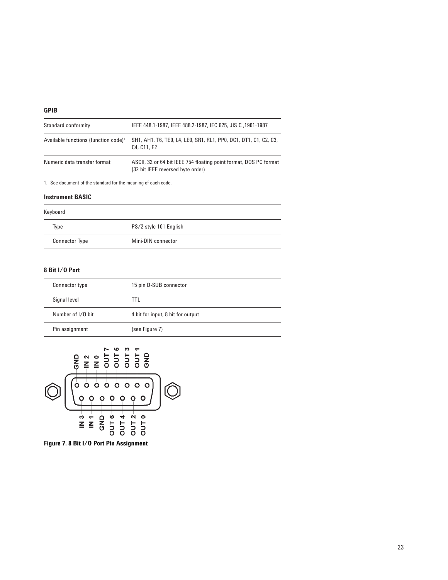#### **GPIB**

| Standard conformity                              | 1901-1987, IEEE 488.2-1987, IEC 625, JIS C, 1901-1987                                                                 |
|--------------------------------------------------|-----------------------------------------------------------------------------------------------------------------------|
| Available functions (function code) <sup>1</sup> | SH1, AH1, T6, TE0, L4, LE0, SR1, RL1, PP0, DC1, DT1, C1, C2, C3,<br>C <sub>4</sub> . C <sub>11</sub> . E <sub>2</sub> |
| Numeric data transfer format                     | ASCII, 32 or 64 bit IEEE 754 floating point format, DOS PC format<br>(32 bit IEEE reversed byte order)                |

1. See document of the standard for the meaning of each code.

#### **Instrument BASIC**

| Keyboard              |                        |
|-----------------------|------------------------|
| Type                  | PS/2 style 101 English |
| <b>Connector Type</b> | Mini-DIN connector     |

# **8 Bit I/O Port**

| Connector type    | 15 pin D-SUB connector            |
|-------------------|-----------------------------------|
| Signal level      | TTL.                              |
| Number of I/O bit | 4 bit for input, 8 bit for output |
| Pin assignment    | (see Figure 7)                    |



**Figure 7. 8 Bit I/O Port Pin Assignment**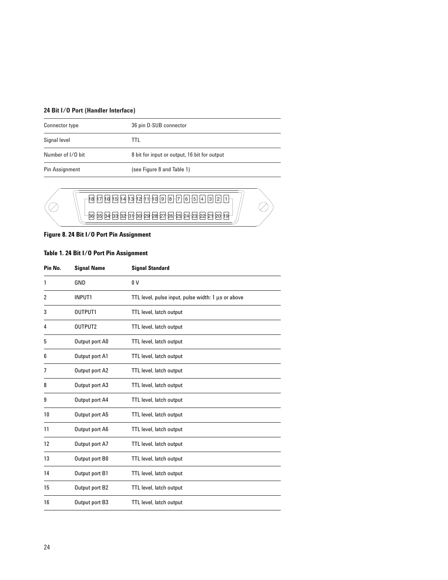# **24 Bit I/O Port (Handler Interface)**

| Connector type    | 36 pin D-SUB connector                       |
|-------------------|----------------------------------------------|
| Signal level      | TTL                                          |
| Number of I/O bit | 8 bit for input or output, 16 bit for output |
| Pin Assignment    | (see Figure 8 and Table 1)                   |



Ø

# **Figure 8. 24 Bit I/O Port Pin Assignment**

# **Table 1. 24 Bit I/O Port Pin Assignment**

| Pin No. | <b>Signal Name</b> | <b>Signal Standard</b>                             |
|---------|--------------------|----------------------------------------------------|
| 1       | GND                | 0 <sup>0</sup>                                     |
| 2       | INPUT1             | TTL level, pulse input, pulse width: 1 µs or above |
| 3       | OUTPUT1            | TTL level, latch output                            |
| 4       | OUTPUT2            | TTL level, latch output                            |
| 5       | Output port A0     | TTL level, latch output                            |
| 6       | Output port A1     | TTL level, latch output                            |
| 7       | Output port A2     | TTL level, latch output                            |
| 8       | Output port A3     | TTL level, latch output                            |
| 9       | Output port A4     | TTL level, latch output                            |
| 10      | Output port A5     | TTL level, latch output                            |
| 11      | Output port A6     | TTL level, latch output                            |
| 12      | Output port A7     | TTL level, latch output                            |
| 13      | Output port B0     | TTL level, latch output                            |
| 14      | Output port B1     | TTL level, latch output                            |
| 15      | Output port B2     | TTL level, latch output                            |
| 16      | Output port B3     | TTL level, latch output                            |
|         |                    |                                                    |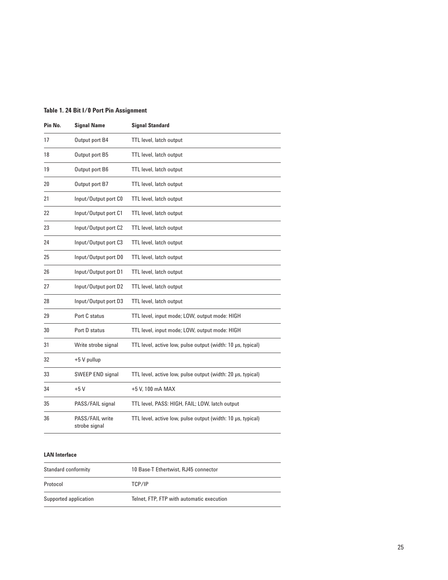# **Table 1. 24 Bit I/0 Port Pin Assignment**

| Pin No. | <b>Signal Name</b>               | <b>Signal Standard</b>                                      |
|---------|----------------------------------|-------------------------------------------------------------|
| 17      | Output port B4                   | TTL level, latch output                                     |
| 18      | Output port B5                   | TTL level, latch output                                     |
| 19      | Output port B6                   | TTL level, latch output                                     |
| 20      | Output port B7                   | TTL level, latch output                                     |
| 21      | Input/Output port C0             | TTL level, latch output                                     |
| 22      | Input/Output port C1             | TTL level, latch output                                     |
| 23      | Input/Output port C2             | TTL level, latch output                                     |
| 24      | Input/Output port C3             | TTL level, latch output                                     |
| 25      | Input/Output port D0             | TTL level, latch output                                     |
| 26      | Input/Output port D1             | TTL level, latch output                                     |
| 27      | Input/Output port D2             | TTL level, latch output                                     |
| 28      | Input/Output port D3             | TTL level, latch output                                     |
| 29      | Port C status                    | TTL level, input mode; LOW, output mode: HIGH               |
| 30      | Port D status                    | TTL level, input mode; LOW, output mode: HIGH               |
| 31      | Write strobe signal              | TTL level, active low, pulse output (width: 10 µs, typical) |
| 32      | +5 V pullup                      |                                                             |
| 33      | SWEEP END signal                 | TTL level, active low, pulse output (width: 20 µs, typical) |
| 34      | $+5V$                            | +5 V, 100 mA MAX                                            |
| 35      | PASS/FAIL signal                 | TTL level, PASS: HIGH, FAIL; LOW, latch output              |
| 36      | PASS/FAIL write<br>strobe signal | TTL level, active low, pulse output (width: 10 µs, typical) |

#### **LAN Interface**

| Standard conformity   | 10 Base-T Ethertwist, RJ45 connector      |
|-----------------------|-------------------------------------------|
| Protocol              | TCP/IP                                    |
| Supported application | Telnet. FTP. FTP with automatic execution |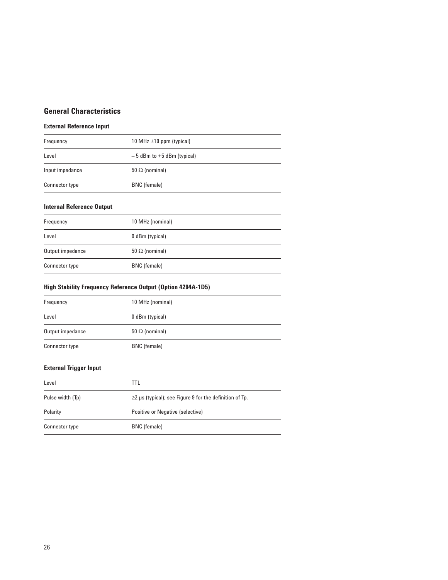# **General Characteristics**

# **External Reference Input**

| Frequency       | 10 MHz $\pm$ 10 ppm (typical)  |
|-----------------|--------------------------------|
| Level           | $-5$ dBm to $+5$ dBm (typical) |
| Input impedance | 50 $\Omega$ (nominal)          |
| Connector type  | BNC (female)                   |

# **Internal Reference Output**

| Frequency        | 10 MHz (nominal)      |
|------------------|-----------------------|
| Level            | 0 dBm (typical)       |
| Output impedance | 50 $\Omega$ (nominal) |
| Connector type   | BNC (female)          |

# **High Stability Frequency Reference Output (Option 4294A-1D5)**

| Frequency        | 10 MHz (nominal)      |
|------------------|-----------------------|
| Level            | 0 dBm (typical)       |
| Output impedance | 50 $\Omega$ (nominal) |
| Connector type   | BNC (female)          |

# **External Trigger Input**

| Level            | TTL                                                           |
|------------------|---------------------------------------------------------------|
| Pulse width (Tp) | $\geq$ 2 µs (typical); see Figure 9 for the definition of Tp. |
| Polarity         | Positive or Negative (selective)                              |
| Connector type   | BNC (female)                                                  |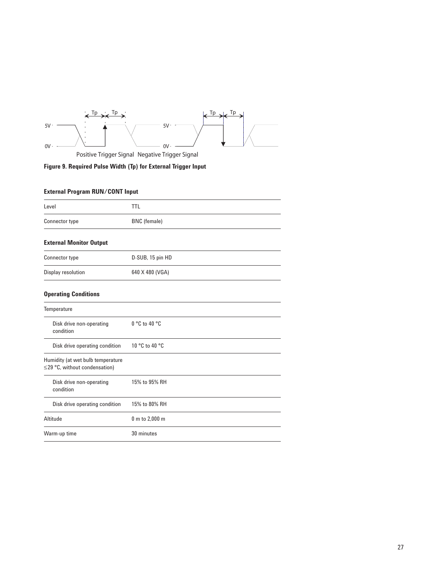

Positive Trigger Signal Negative Trigger Signal

**Figure 9. Required Pulse Width (Tp) for External Trigger Input**

# **External Program RUN/CONT Input**

| Level                                                                    | <b>TTL</b>          |
|--------------------------------------------------------------------------|---------------------|
| <b>Connector type</b>                                                    | <b>BNC</b> (female) |
| <b>External Monitor Output</b>                                           |                     |
| Connector type                                                           | D-SUB, 15 pin HD    |
| Display resolution                                                       | 640 X 480 (VGA)     |
| <b>Operating Conditions</b>                                              |                     |
| Temperature                                                              |                     |
| Disk drive non-operating<br>condition                                    | $0 °C$ to 40 $°C$   |
| Disk drive operating condition                                           | 10 °C to 40 °C      |
| Humidity (at wet bulb temperature<br>$\leq$ 29 °C, without condensation) |                     |
| Disk drive non-operating<br>condition                                    | 15% to 95% RH       |
| Disk drive operating condition                                           | 15% to 80% RH       |
| Altitude                                                                 | 0 m to 2,000 m      |
| Warm-up time                                                             | 30 minutes          |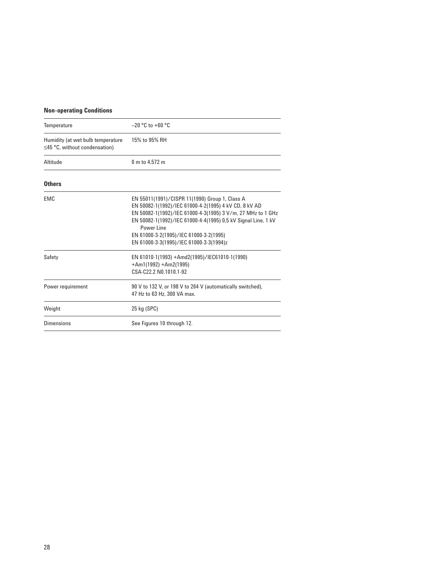# **Non-operating Conditions**

| Temperature                                                              | $-20$ °C to +60 °C                                                                                                                                                                                                                                                                                                                         |
|--------------------------------------------------------------------------|--------------------------------------------------------------------------------------------------------------------------------------------------------------------------------------------------------------------------------------------------------------------------------------------------------------------------------------------|
| Humidity (at wet bulb temperature<br>$\leq$ 45 °C, without condensation) | 15% to 95% RH                                                                                                                                                                                                                                                                                                                              |
| Altitude                                                                 | 0 m to 4.572 m                                                                                                                                                                                                                                                                                                                             |
| <b>Others</b>                                                            |                                                                                                                                                                                                                                                                                                                                            |
| EMC                                                                      | EN 55011(1991)/CISPR 11(1990) Group 1, Class A<br>EN 50082-1(1992)/IEC 61000-4-2(1995) 4 kV CD, 8 kV AD<br>EN 50082-1(1992)/IEC 61000-4-3(1995) 3 V/m, 27 MHz to 1 GHz<br>EN 50082-1(1992)/IEC 61000-4-4(1995) 0,5 kV Signal Line, 1 kV<br>Power Line<br>EN 61000-3-2(1995)/IEC 61000-3-2(1995)<br>EN 61000-3-3(1995)/IEC 61000-3-3(1994)z |
| Safety                                                                   | EN 61010-1(1993) +Amd2(1995)/IEC61010-1(1990)<br>$+Am1(1992) + Am2(1995)$<br>CSA-C22.2 N0.1010.1-92                                                                                                                                                                                                                                        |
| Power requirement                                                        | 90 V to 132 V, or 198 V to 264 V (automatically switched),<br>47 Hz to 63 Hz, 300 VA max.                                                                                                                                                                                                                                                  |
| Weight                                                                   | 25 kg (SPC)                                                                                                                                                                                                                                                                                                                                |
| <b>Dimensions</b>                                                        | See Figures 10 through 12.                                                                                                                                                                                                                                                                                                                 |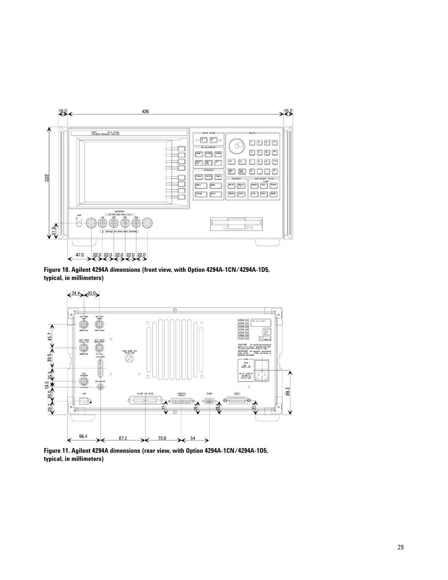

**Figure 10. Agilent 4294A dimensions (front view, with Option 4294A-1CN/4294A-1D5, typical, in millimeters)**



**Figure 11. Agilent 4294A dimensions (rear view, with Option 4294A-1CN/4294A-1D5, typical, in millimeters)**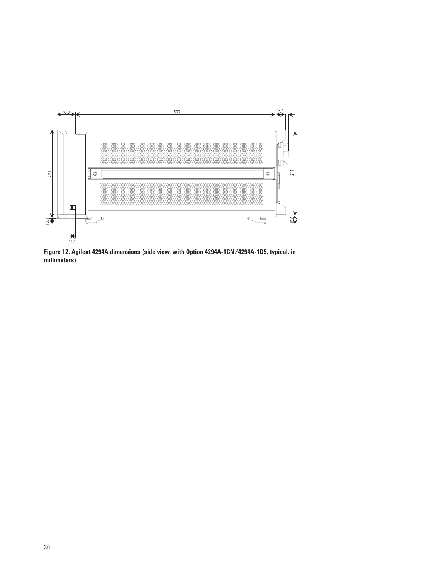

**Figure 12. Agilent 4294A dimensions (side view, with Option 4294A-1CN/4294A-1D5, typical, in millimeters)**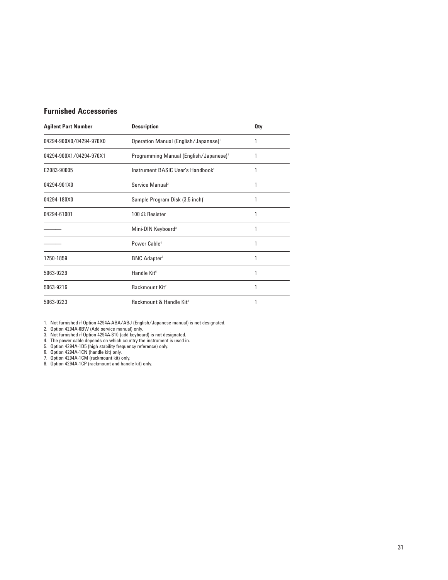# **Furnished Accessories**

| <b>Agilent Part Number</b> | <b>Description</b>                                 | <b>Qty</b> |
|----------------------------|----------------------------------------------------|------------|
| 04294-900X0/04294-970X0    | Operation Manual (English/Japanese) <sup>1</sup>   | 1          |
| 04294-900X1/04294-970X1    | Programming Manual (English/Japanese) <sup>1</sup> | 1          |
| E2083-90005                | Instrument BASIC User's Handbook <sup>1</sup>      | 1          |
| 04294-901X0                | Service Manual <sup>2</sup>                        | 1          |
| 04294-180X0                | Sample Program Disk (3.5 inch) <sup>1</sup>        |            |
| 04294-61001                | 100 $\Omega$ Resister                              | 1          |
|                            | Mini-DIN Keyboard <sup>3</sup>                     | 1          |
|                            | Power Cable <sup>4</sup>                           | 1          |
| 1250-1859                  | <b>BNC Adapter</b> <sup>5</sup>                    | 1          |
| 5063-9229                  | Handle Kit <sup>6</sup>                            | 1          |
| 5063-9216                  | Rackmount Kit <sup>7</sup>                         | 1          |
| 5063-9223                  | Rackmount & Handle Kit <sup>8</sup>                | 1          |

1. Not furnished if Option 4294A-ABA/ABJ (English/Japanese manual) is not designated.

2. Option 4294A-0BW (Add service manual) only.

3. Not furnished if Option 4294A-810 (add keyboard) is not designated.

4. The power cable depends on which country the instrument is used in.

5. Option 4294A-1D5 (high stability frequency reference) only.

6. Option 4294A-1CN (handle kit) only.

7. Option 4294A-1CM (rackmount kit) only.

8. Option 4294A-1CP (rackmount and handle kit) only.